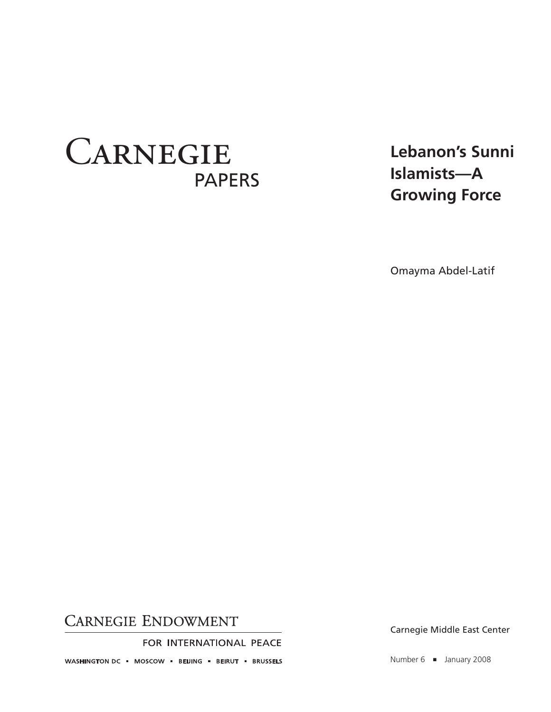# **CARNEGIE** PAPERS

**Lebanon's Sunni Islamists—A Growing Force**

Omayma Abdel-Latif

## **CARNEGIE ENDOWMENT**

FOR INTERNATIONAL PEACE

WASHINGTON DC = MOSCOW = BEIJING = BEIRUT = BRUSSELS

Carnegie Middle East Center

Number 6 ■ January 2008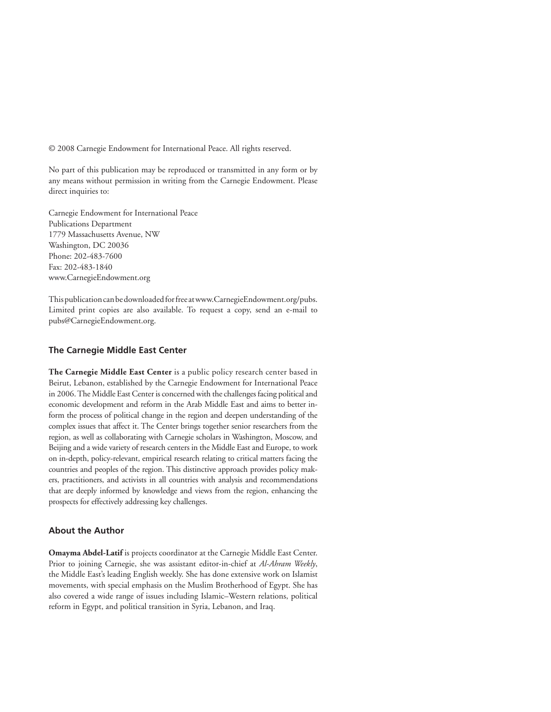© 2008 Carnegie Endowment for International Peace. All rights reserved.

No part of this publication may be reproduced or transmitted in any form or by any means without permission in writing from the Carnegie Endowment. Please direct inquiries to:

Carnegie Endowment for International Peace Publications Department 1779 Massachusetts Avenue, NW Washington, DC 20036 Phone: 202-483-7600 Fax: 202-483-1840 www.CarnegieEndowment.org

This publication can be downloaded for free at www.CarnegieEndowment.org/pubs. Limited print copies are also available. To request a copy, send an e-mail to pubs@CarnegieEndowment.org.

#### **The Carnegie Middle East Center**

**The Carnegie Middle East Center** is a public policy research center based in Beirut, Lebanon, established by the Carnegie Endowment for International Peace in 2006. The Middle East Center is concerned with the challenges facing political and economic development and reform in the Arab Middle East and aims to better inform the process of political change in the region and deepen understanding of the complex issues that affect it. The Center brings together senior researchers from the region, as well as collaborating with Carnegie scholars in Washington, Moscow, and Beijing and a wide variety of research centers in the Middle East and Europe, to work on in-depth, policy-relevant, empirical research relating to critical matters facing the countries and peoples of the region. This distinctive approach provides policy makers, practitioners, and activists in all countries with analysis and recommendations that are deeply informed by knowledge and views from the region, enhancing the prospects for effectively addressing key challenges.

#### **About the Author**

**Omayma Abdel-Latif** is projects coordinator at the Carnegie Middle East Center. Prior to joining Carnegie, she was assistant editor-in-chief at *Al-Ahram Weekly*, the Middle East's leading English weekly. She has done extensive work on Islamist movements, with special emphasis on the Muslim Brotherhood of Egypt. She has also covered a wide range of issues including Islamic–Western relations, political reform in Egypt, and political transition in Syria, Lebanon, and Iraq.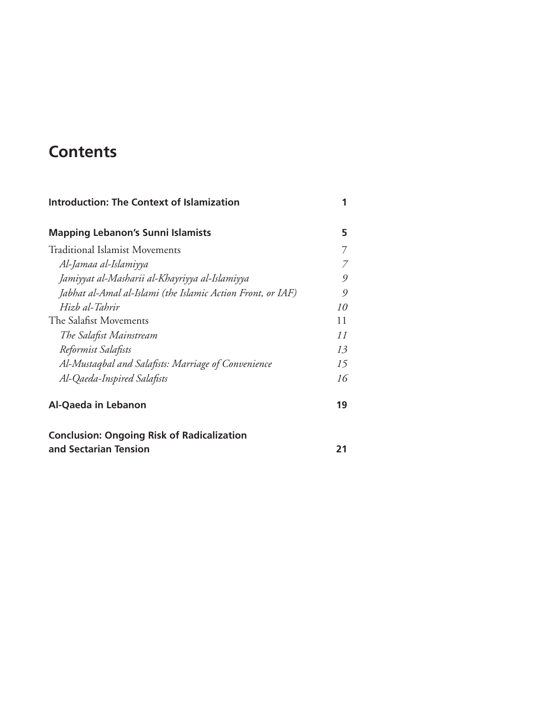# **Contents**

| <b>Introduction: The Context of Islamization</b>            | 1  |
|-------------------------------------------------------------|----|
| <b>Mapping Lebanon's Sunni Islamists</b>                    | 5  |
| Traditional Islamist Movements                              | 7  |
| Al-Jamaa al-Islamiyya                                       | 7  |
| Jamiyyat al-Masharii al-Khayriyya al-Islamiyya              | 9  |
| Jabhat al-Amal al-Islami (the Islamic Action Front, or IAF) | 9  |
| Hizb al-Tahrir                                              | 10 |
| The Salafist Movements                                      | 11 |
| The Salafist Mainstream                                     | 11 |
| Reformist Salafists                                         | 13 |
| Al-Mustaqbal and Salafists: Marriage of Convenience         | 15 |
| Al-Qaeda-Inspired Salafists                                 | 16 |
| Al-Qaeda in Lebanon                                         | 19 |
| <b>Conclusion: Ongoing Risk of Radicalization</b>           |    |
| and Sectarian Tension                                       | 21 |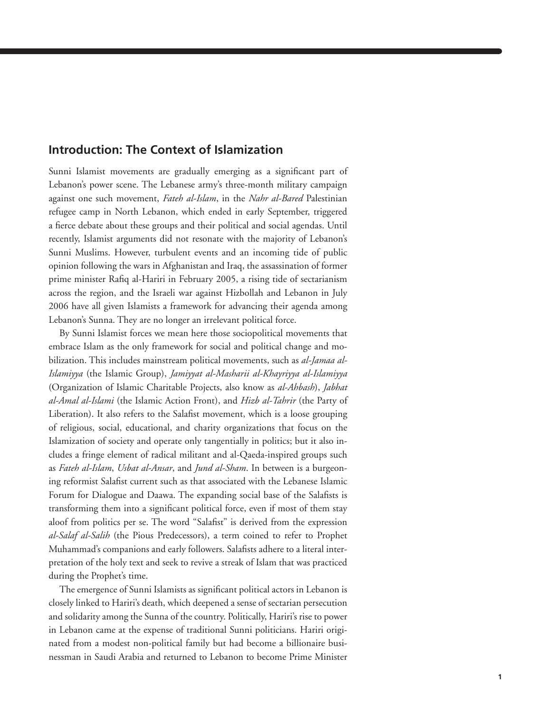#### **Introduction: The Context of Islamization**

Sunni Islamist movements are gradually emerging as a significant part of Lebanon's power scene. The Lebanese army's three-month military campaign against one such movement, *Fateh al-Islam*, in the *Nahr al-Bared* Palestinian refugee camp in North Lebanon, which ended in early September, triggered a fierce debate about these groups and their political and social agendas. Until recently, Islamist arguments did not resonate with the majority of Lebanon's Sunni Muslims. However, turbulent events and an incoming tide of public opinion following the wars in Afghanistan and Iraq, the assassination of former prime minister Rafiq al-Hariri in February 2005, a rising tide of sectarianism across the region, and the Israeli war against Hizbollah and Lebanon in July 2006 have all given Islamists a framework for advancing their agenda among Lebanon's Sunna. They are no longer an irrelevant political force.

By Sunni Islamist forces we mean here those sociopolitical movements that embrace Islam as the only framework for social and political change and mobilization. This includes mainstream political movements, such as *al-Jamaa al-Islamiyya* (the Islamic Group), *Jamiyyat al-Masharii al-Khayriyya al-Islamiyya* (Organization of Islamic Charitable Projects, also know as *al-Ahbash*), *Jabhat al-Amal al-Islami* (the Islamic Action Front), and *Hizb al-Tahrir* (the Party of Liberation). It also refers to the Salafist movement, which is a loose grouping of religious, social, educational, and charity organizations that focus on the Islamization of society and operate only tangentially in politics; but it also includes a fringe element of radical militant and al-Qaeda-inspired groups such as *Fateh al-Islam*, *Usbat al-Ansar*, and *Jund al-Sham*. In between is a burgeoning reformist Salafist current such as that associated with the Lebanese Islamic Forum for Dialogue and Daawa. The expanding social base of the Salafists is transforming them into a significant political force, even if most of them stay aloof from politics per se. The word "Salafist" is derived from the expression *al-Salaf al-Salih* (the Pious Predecessors), a term coined to refer to Prophet Muhammad's companions and early followers. Salafists adhere to a literal interpretation of the holy text and seek to revive a streak of Islam that was practiced during the Prophet's time.

The emergence of Sunni Islamists as significant political actors in Lebanon is closely linked to Hariri's death, which deepened a sense of sectarian persecution and solidarity among the Sunna of the country. Politically, Hariri's rise to power in Lebanon came at the expense of traditional Sunni politicians. Hariri originated from a modest non-political family but had become a billionaire businessman in Saudi Arabia and returned to Lebanon to become Prime Minister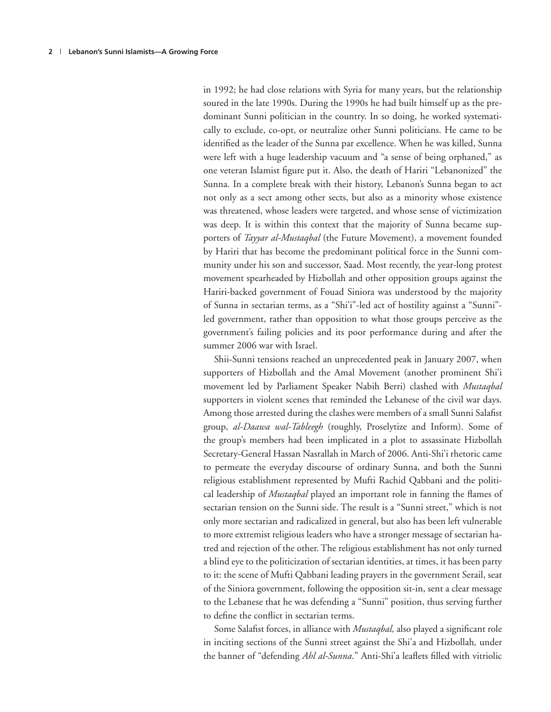in 1992; he had close relations with Syria for many years, but the relationship soured in the late 1990s. During the 1990s he had built himself up as the predominant Sunni politician in the country. In so doing, he worked systematically to exclude, co-opt, or neutralize other Sunni politicians. He came to be identified as the leader of the Sunna par excellence. When he was killed, Sunna were left with a huge leadership vacuum and "a sense of being orphaned," as one veteran Islamist figure put it. Also, the death of Hariri "Lebanonized" the Sunna. In a complete break with their history, Lebanon's Sunna began to act not only as a sect among other sects, but also as a minority whose existence was threatened, whose leaders were targeted, and whose sense of victimization was deep. It is within this context that the majority of Sunna became supporters of *Tayyar al-Mustaqbal* (the Future Movement), a movement founded by Hariri that has become the predominant political force in the Sunni community under his son and successor, Saad. Most recently, the year-long protest movement spearheaded by Hizbollah and other opposition groups against the Hariri-backed government of Fouad Siniora was understood by the majority of Sunna in sectarian terms, as a "Shi'i"-led act of hostility against a "Sunni" led government, rather than opposition to what those groups perceive as the government's failing policies and its poor performance during and after the summer 2006 war with Israel.

Shii-Sunni tensions reached an unprecedented peak in January 2007, when supporters of Hizbollah and the Amal Movement (another prominent Shi'i movement led by Parliament Speaker Nabih Berri) clashed with *Mustaqbal* supporters in violent scenes that reminded the Lebanese of the civil war days. Among those arrested during the clashes were members of a small Sunni Salafist group, *al-Daawa wal-Tableegh* (roughly, Proselytize and Inform). Some of the group's members had been implicated in a plot to assassinate Hizbollah Secretary-General Hassan Nasrallah in March of 2006. Anti-Shi'i rhetoric came to permeate the everyday discourse of ordinary Sunna, and both the Sunni religious establishment represented by Mufti Rachid Qabbani and the political leadership of *Mustaqbal* played an important role in fanning the flames of sectarian tension on the Sunni side. The result is a "Sunni street," which is not only more sectarian and radicalized in general, but also has been left vulnerable to more extremist religious leaders who have a stronger message of sectarian hatred and rejection of the other. The religious establishment has not only turned a blind eye to the politicization of sectarian identities, at times, it has been party to it: the scene of Mufti Qabbani leading prayers in the government Serail, seat of the Siniora government, following the opposition sit-in, sent a clear message to the Lebanese that he was defending a "Sunni" position, thus serving further to define the conflict in sectarian terms.

Some Salafist forces, in alliance with *Mustaqbal*, also played a significant role in inciting sections of the Sunni street against the Shi'a and Hizbollah*,* under the banner of "defending *Ahl al-Sunna*." Anti-Shi'a leaflets filled with vitriolic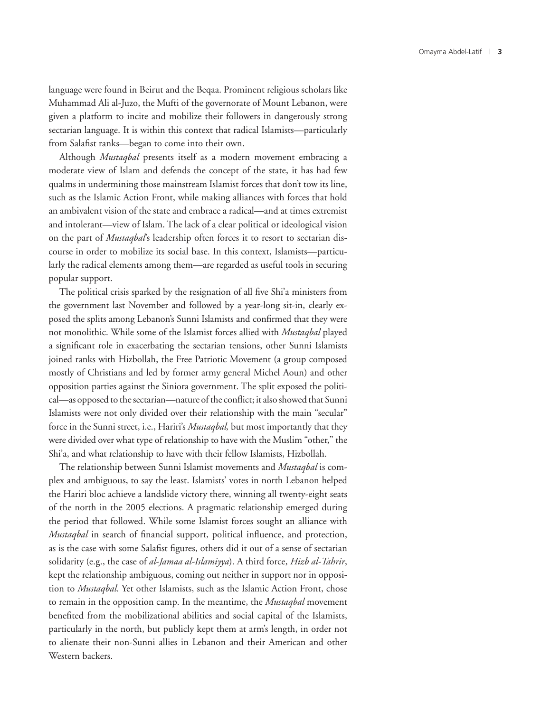language were found in Beirut and the Beqaa. Prominent religious scholars like Muhammad Ali al-Juzo, the Mufti of the governorate of Mount Lebanon, were given a platform to incite and mobilize their followers in dangerously strong sectarian language. It is within this context that radical Islamists—particularly from Salafist ranks—began to come into their own.

Although *Mustaqbal* presents itself as a modern movement embracing a moderate view of Islam and defends the concept of the state, it has had few qualms in undermining those mainstream Islamist forces that don't tow its line, such as the Islamic Action Front, while making alliances with forces that hold an ambivalent vision of the state and embrace a radical—and at times extremist and intolerant—view of Islam. The lack of a clear political or ideological vision on the part of *Mustaqbal*'s leadership often forces it to resort to sectarian discourse in order to mobilize its social base. In this context, Islamists—particularly the radical elements among them—are regarded as useful tools in securing popular support.

The political crisis sparked by the resignation of all five Shi'a ministers from the government last November and followed by a year-long sit-in, clearly exposed the splits among Lebanon's Sunni Islamists and confirmed that they were not monolithic. While some of the Islamist forces allied with *Mustaqbal* played a significant role in exacerbating the sectarian tensions, other Sunni Islamists joined ranks with Hizbollah, the Free Patriotic Movement (a group composed mostly of Christians and led by former army general Michel Aoun) and other opposition parties against the Siniora government. The split exposed the political—as opposed to the sectarian—nature of the conflict; it also showed that Sunni Islamists were not only divided over their relationship with the main "secular" force in the Sunni street, i.e., Hariri's *Mustaqbal,* but most importantly that they were divided over what type of relationship to have with the Muslim "other," the Shi'a, and what relationship to have with their fellow Islamists, Hizbollah.

The relationship between Sunni Islamist movements and *Mustaqbal* is complex and ambiguous, to say the least. Islamists' votes in north Lebanon helped the Hariri bloc achieve a landslide victory there, winning all twenty-eight seats of the north in the 2005 elections. A pragmatic relationship emerged during the period that followed. While some Islamist forces sought an alliance with *Mustaqbal* in search of financial support, political influence, and protection, as is the case with some Salafist figures, others did it out of a sense of sectarian solidarity (e.g., the case of *al-Jamaa al-Islamiyya*). A third force, *Hizb al-Tahrir*, kept the relationship ambiguous, coming out neither in support nor in opposition to *Mustaqbal*. Yet other Islamists, such as the Islamic Action Front, chose to remain in the opposition camp. In the meantime, the *Mustaqbal* movement benefited from the mobilizational abilities and social capital of the Islamists, particularly in the north, but publicly kept them at arm's length, in order not to alienate their non-Sunni allies in Lebanon and their American and other Western backers.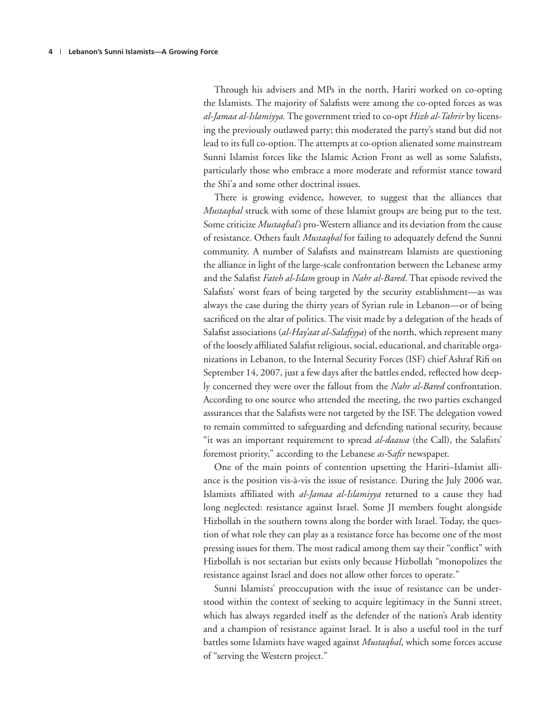Through his advisers and MPs in the north, Hariri worked on co-opting the Islamists. The majority of Salafists were among the co-opted forces as was *al-Jamaa al-Islamiyya.* The government tried to co-opt *Hizb al-Tahrir* by licensing the previously outlawed party; this moderated the party's stand but did not lead to its full co-option. The attempts at co-option alienated some mainstream Sunni Islamist forces like the Islamic Action Front as well as some Salafists, particularly those who embrace a more moderate and reformist stance toward the Shi'a and some other doctrinal issues.

There is growing evidence, however, to suggest that the alliances that *Mustaqbal* struck with some of these Islamist groups are being put to the test. Some criticize *Mustaqbal's* pro-Western alliance and its deviation from the cause of resistance. Others fault *Mustaqbal* for failing to adequately defend the Sunni community. A number of Salafists and mainstream Islamists are questioning the alliance in light of the large-scale confrontation between the Lebanese army and the Salafist *Fateh al-Islam* group in *Nahr al-Bared*. That episode revived the Salafists' worst fears of being targeted by the security establishment—as was always the case during the thirty years of Syrian rule in Lebanon—or of being sacrificed on the altar of politics. The visit made by a delegation of the heads of Salafist associations (*al-Hay'aat al-Salafiyya*) of the north, which represent many of the loosely affiliated Salafist religious, social, educational, and charitable organizations in Lebanon, to the Internal Security Forces (ISF) chief Ashraf Rifi on September 14, 2007, just a few days after the battles ended, reflected how deeply concerned they were over the fallout from the *Nahr al-Bared* confrontation. According to one source who attended the meeting, the two parties exchanged assurances that the Salafists were not targeted by the ISF. The delegation vowed to remain committed to safeguarding and defending national security, because "it was an important requirement to spread *al-daawa* (the Call), the Salafists' foremost priority," according to the Lebanese *as-Safir* newspaper.

One of the main points of contention upsetting the Hariri–Islamist alliance is the position vis-à-vis the issue of resistance. During the July 2006 war, Islamists affiliated with *al-Jamaa al-Islamiyya* returned to a cause they had long neglected: resistance against Israel. Some JI members fought alongside Hizbollah in the southern towns along the border with Israel. Today, the question of what role they can play as a resistance force has become one of the most pressing issues for them. The most radical among them say their "conflict" with Hizbollah is not sectarian but exists only because Hizbollah "monopolizes the resistance against Israel and does not allow other forces to operate."

Sunni Islamists' preoccupation with the issue of resistance can be understood within the context of seeking to acquire legitimacy in the Sunni street, which has always regarded itself as the defender of the nation's Arab identity and a champion of resistance against Israel. It is also a useful tool in the turf battles some Islamists have waged against *Mustaqbal*, which some forces accuse of "serving the Western project."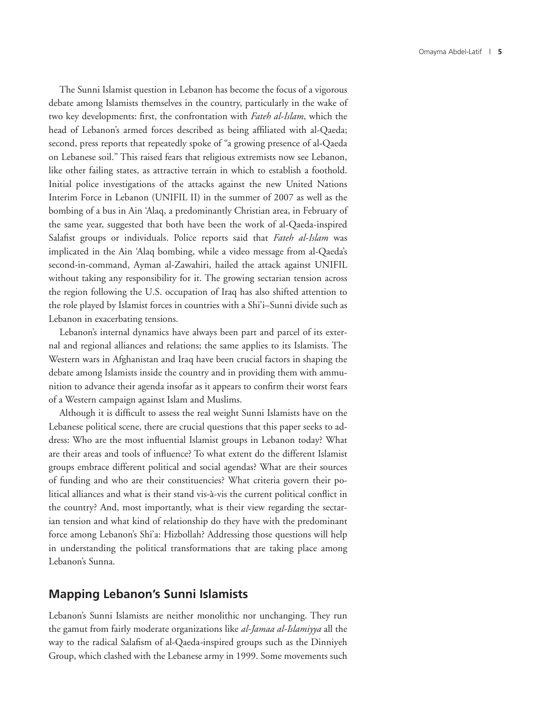The Sunni Islamist question in Lebanon has become the focus of a vigorous debate among Islamists themselves in the country, particularly in the wake of two key developments: first, the confrontation with *Fateh al-Islam*, which the head of Lebanon's armed forces described as being affiliated with al-Qaeda; second, press reports that repeatedly spoke of "a growing presence of al-Qaeda on Lebanese soil." This raised fears that religious extremists now see Lebanon, like other failing states, as attractive terrain in which to establish a foothold. Initial police investigations of the attacks against the new United Nations Interim Force in Lebanon (UNIFIL II) in the summer of 2007 as well as the bombing of a bus in Ain 'Alaq, a predominantly Christian area, in February of the same year, suggested that both have been the work of al-Qaeda-inspired Salafist groups or individuals. Police reports said that *Fateh al-Islam* was implicated in the Ain 'Alaq bombing, while a video message from al-Qaeda's second-in-command, Ayman al-Zawahiri, hailed the attack against UNIFIL without taking any responsibility for it. The growing sectarian tension across the region following the U.S. occupation of Iraq has also shifted attention to the role played by Islamist forces in countries with a Shi'i–Sunni divide such as Lebanon in exacerbating tensions.

Lebanon's internal dynamics have always been part and parcel of its external and regional alliances and relations; the same applies to its Islamists. The Western wars in Afghanistan and Iraq have been crucial factors in shaping the debate among Islamists inside the country and in providing them with ammunition to advance their agenda insofar as it appears to confirm their worst fears of a Western campaign against Islam and Muslims.

Although it is difficult to assess the real weight Sunni Islamists have on the Lebanese political scene, there are crucial questions that this paper seeks to address: Who are the most influential Islamist groups in Lebanon today? What are their areas and tools of influence? To what extent do the different Islamist groups embrace different political and social agendas? What are their sources of funding and who are their constituencies? What criteria govern their political alliances and what is their stand vis-à-vis the current political conflict in the country? And, most importantly, what is their view regarding the sectarian tension and what kind of relationship do they have with the predominant force among Lebanon's Shi'a: Hizbollah? Addressing those questions will help in understanding the political transformations that are taking place among Lebanon's Sunna.

#### **Mapping Lebanon's Sunni Islamists**

Lebanon's Sunni Islamists are neither monolithic nor unchanging. They run the gamut from fairly moderate organizations like *al-Jamaa al-Islamiyya* all the way to the radical Salafism of al-Qaeda-inspired groups such as the Dinniyeh Group, which clashed with the Lebanese army in 1999. Some movements such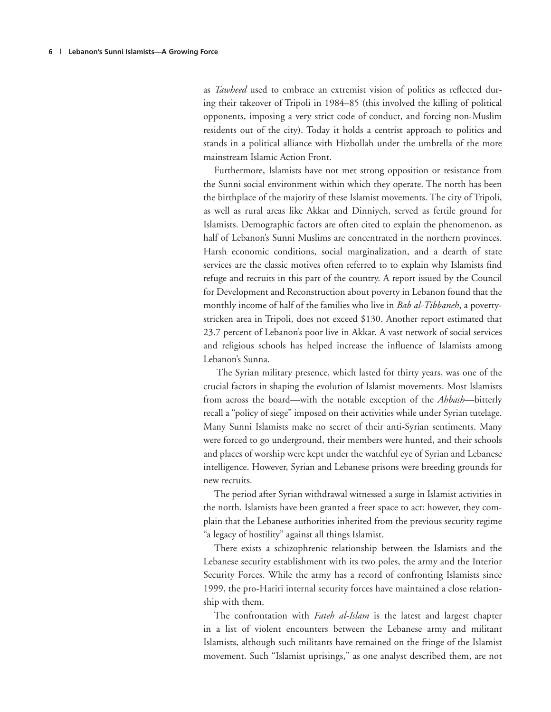as *Tawheed* used to embrace an extremist vision of politics as reflected during their takeover of Tripoli in 1984–85 (this involved the killing of political opponents, imposing a very strict code of conduct, and forcing non-Muslim residents out of the city). Today it holds a centrist approach to politics and stands in a political alliance with Hizbollah under the umbrella of the more mainstream Islamic Action Front.

Furthermore, Islamists have not met strong opposition or resistance from the Sunni social environment within which they operate. The north has been the birthplace of the majority of these Islamist movements. The city of Tripoli, as well as rural areas like Akkar and Dinniyeh, served as fertile ground for Islamists. Demographic factors are often cited to explain the phenomenon, as half of Lebanon's Sunni Muslims are concentrated in the northern provinces. Harsh economic conditions, social marginalization, and a dearth of state services are the classic motives often referred to to explain why Islamists find refuge and recruits in this part of the country. A report issued by the Council for Development and Reconstruction about poverty in Lebanon found that the monthly income of half of the families who live in *Bab al-Tibbaneh*, a povertystricken area in Tripoli, does not exceed \$130. Another report estimated that 23.7 percent of Lebanon's poor live in Akkar. A vast network of social services and religious schools has helped increase the influence of Islamists among Lebanon's Sunna.

 The Syrian military presence, which lasted for thirty years, was one of the crucial factors in shaping the evolution of Islamist movements. Most Islamists from across the board—with the notable exception of the *Ahbash*—bitterly recall a "policy of siege" imposed on their activities while under Syrian tutelage. Many Sunni Islamists make no secret of their anti-Syrian sentiments. Many were forced to go underground, their members were hunted, and their schools and places of worship were kept under the watchful eye of Syrian and Lebanese intelligence. However, Syrian and Lebanese prisons were breeding grounds for new recruits.

The period after Syrian withdrawal witnessed a surge in Islamist activities in the north. Islamists have been granted a freer space to act: however, they complain that the Lebanese authorities inherited from the previous security regime "a legacy of hostility" against all things Islamist.

There exists a schizophrenic relationship between the Islamists and the Lebanese security establishment with its two poles, the army and the Interior Security Forces. While the army has a record of confronting Islamists since 1999, the pro-Hariri internal security forces have maintained a close relationship with them.

The confrontation with *Fateh al-Islam* is the latest and largest chapter in a list of violent encounters between the Lebanese army and militant Islamists, although such militants have remained on the fringe of the Islamist movement. Such "Islamist uprisings," as one analyst described them, are not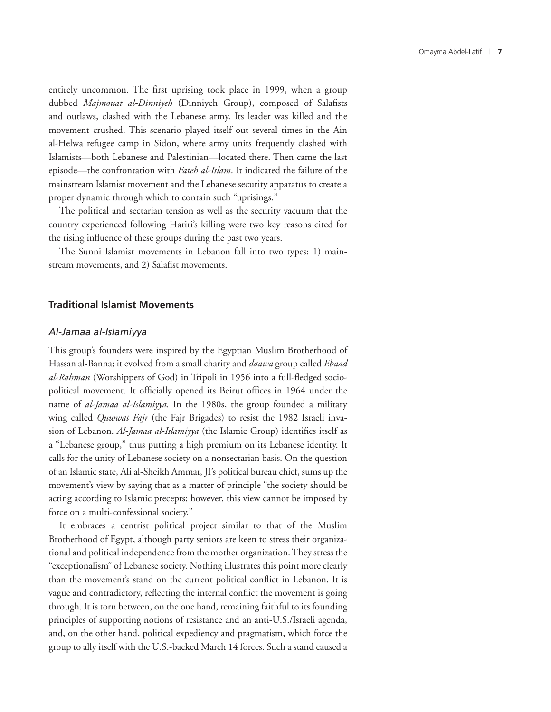entirely uncommon. The first uprising took place in 1999, when a group dubbed *Majmouat al-Dinniyeh* (Dinniyeh Group), composed of Salafists and outlaws, clashed with the Lebanese army. Its leader was killed and the movement crushed. This scenario played itself out several times in the Ain al-Helwa refugee camp in Sidon, where army units frequently clashed with Islamists—both Lebanese and Palestinian—located there. Then came the last episode—the confrontation with *Fateh al-Islam*. It indicated the failure of the mainstream Islamist movement and the Lebanese security apparatus to create a proper dynamic through which to contain such "uprisings."

The political and sectarian tension as well as the security vacuum that the country experienced following Hariri's killing were two key reasons cited for the rising influence of these groups during the past two years.

The Sunni Islamist movements in Lebanon fall into two types: 1) mainstream movements, and 2) Salafist movements.

#### **Traditional Islamist Movements**

#### *Al-Jamaa al-Islamiyya*

This group's founders were inspired by the Egyptian Muslim Brotherhood of Hassan al-Banna; it evolved from a small charity and *daawa* group called *Ebaad al-Rahman* (Worshippers of God) in Tripoli in 1956 into a full-fledged sociopolitical movement. It officially opened its Beirut offices in 1964 under the name of *al-Jamaa al-Islamiyya.* In the 1980s, the group founded a military wing called *Quwwat Fajr* (the Fajr Brigades) to resist the 1982 Israeli invasion of Lebanon. *Al-Jamaa al-Islamiyya* (the Islamic Group) identifies itself as a "Lebanese group," thus putting a high premium on its Lebanese identity. It calls for the unity of Lebanese society on a nonsectarian basis. On the question of an Islamic state, Ali al-Sheikh Ammar, JI's political bureau chief, sums up the movement's view by saying that as a matter of principle "the society should be acting according to Islamic precepts; however, this view cannot be imposed by force on a multi-confessional society."

It embraces a centrist political project similar to that of the Muslim Brotherhood of Egypt, although party seniors are keen to stress their organizational and political independence from the mother organization. They stress the "exceptionalism" of Lebanese society. Nothing illustrates this point more clearly than the movement's stand on the current political conflict in Lebanon. It is vague and contradictory, reflecting the internal conflict the movement is going through. It is torn between, on the one hand, remaining faithful to its founding principles of supporting notions of resistance and an anti-U.S./Israeli agenda, and, on the other hand, political expediency and pragmatism, which force the group to ally itself with the U.S.-backed March 14 forces. Such a stand caused a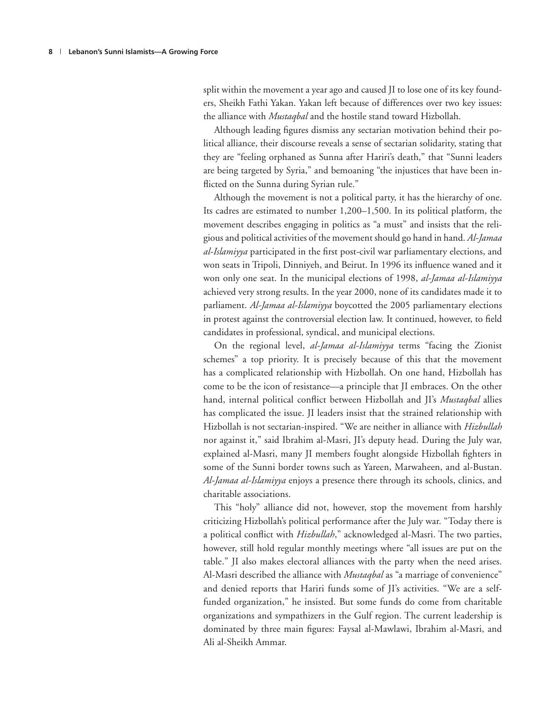split within the movement a year ago and caused JI to lose one of its key founders, Sheikh Fathi Yakan. Yakan left because of differences over two key issues: the alliance with *Mustaqbal* and the hostile stand toward Hizbollah.

Although leading figures dismiss any sectarian motivation behind their political alliance, their discourse reveals a sense of sectarian solidarity, stating that they are "feeling orphaned as Sunna after Hariri's death," that "Sunni leaders are being targeted by Syria," and bemoaning "the injustices that have been inflicted on the Sunna during Syrian rule."

Although the movement is not a political party, it has the hierarchy of one. Its cadres are estimated to number 1,200–1,500. In its political platform, the movement describes engaging in politics as "a must" and insists that the religious and political activities of the movement should go hand in hand. *Al-Jamaa al-Islamiyya* participated in the first post-civil war parliamentary elections, and won seats in Tripoli, Dinniyeh, and Beirut. In 1996 its influence waned and it won only one seat. In the municipal elections of 1998, *al-Jamaa al-Islamiyya* achieved very strong results. In the year 2000, none of its candidates made it to parliament. *Al-Jamaa al-Islamiyya* boycotted the 2005 parliamentary elections in protest against the controversial election law. It continued, however, to field candidates in professional, syndical, and municipal elections.

On the regional level, *al-Jamaa al-Islamiyya* terms "facing the Zionist schemes" a top priority. It is precisely because of this that the movement has a complicated relationship with Hizbollah. On one hand, Hizbollah has come to be the icon of resistance—a principle that JI embraces. On the other hand, internal political conflict between Hizbollah and JI's *Mustaqbal* allies has complicated the issue. JI leaders insist that the strained relationship with Hizbollah is not sectarian-inspired. "We are neither in alliance with *Hizbullah* nor against it," said Ibrahim al-Masri, JI's deputy head. During the July war, explained al-Masri, many JI members fought alongside Hizbollah fighters in some of the Sunni border towns such as Yareen, Marwaheen, and al-Bustan. *Al-Jamaa al-Islamiyya* enjoys a presence there through its schools, clinics, and charitable associations.

This "holy" alliance did not, however, stop the movement from harshly criticizing Hizbollah's political performance after the July war. "Today there is a political conflict with *Hizbullah*," acknowledged al-Masri. The two parties, however, still hold regular monthly meetings where "all issues are put on the table." JI also makes electoral alliances with the party when the need arises. Al-Masri described the alliance with *Mustaqbal* as "a marriage of convenience" and denied reports that Hariri funds some of JI's activities. "We are a selffunded organization," he insisted. But some funds do come from charitable organizations and sympathizers in the Gulf region. The current leadership is dominated by three main figures: Faysal al-Mawlawi, Ibrahim al-Masri, and Ali al-Sheikh Ammar.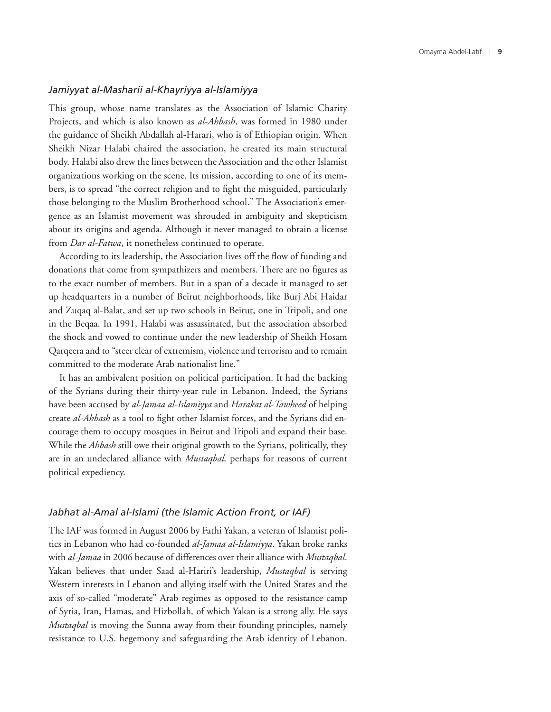#### *Jamiyyat al-Masharii al-Khayriyya al-Islamiyya*

This group, whose name translates as the Association of Islamic Charity Projects, and which is also known as *al-Ahbash*, was formed in 1980 under the guidance of Sheikh Abdallah al-Harari, who is of Ethiopian origin. When Sheikh Nizar Halabi chaired the association, he created its main structural body. Halabi also drew the lines between the Association and the other Islamist organizations working on the scene. Its mission, according to one of its members, is to spread "the correct religion and to fight the misguided, particularly those belonging to the Muslim Brotherhood school." The Association's emergence as an Islamist movement was shrouded in ambiguity and skepticism about its origins and agenda. Although it never managed to obtain a license from *Dar al-Fatwa*, it nonetheless continued to operate.

According to its leadership, the Association lives off the flow of funding and donations that come from sympathizers and members. There are no figures as to the exact number of members. But in a span of a decade it managed to set up headquarters in a number of Beirut neighborhoods, like Burj Abi Haidar and Zuqaq al-Balat, and set up two schools in Beirut, one in Tripoli, and one in the Beqaa. In 1991, Halabi was assassinated, but the association absorbed the shock and vowed to continue under the new leadership of Sheikh Hosam Qarqeera and to "steer clear of extremism, violence and terrorism and to remain committed to the moderate Arab nationalist line."

It has an ambivalent position on political participation. It had the backing of the Syrians during their thirty-year rule in Lebanon. Indeed, the Syrians have been accused by *al-Jamaa al-Islamiyya* and *Harakat al-Tawheed* of helping create *al-Ahbash* as a tool to fight other Islamist forces, and the Syrians did encourage them to occupy mosques in Beirut and Tripoli and expand their base. While the *Ahbash* still owe their original growth to the Syrians, politically, they are in an undeclared alliance with *Mustaqbal,* perhaps for reasons of current political expediency.

#### *Jabhat al-Amal al-Islami (the Islamic Action Front, or IAF)*

The IAF was formed in August 2006 by Fathi Yakan, a veteran of Islamist politics in Lebanon who had co-founded *al-Jamaa al-Islamiyya*. Yakan broke ranks with *al-Jamaa* in 2006 because of differences over their alliance with *Mustaqbal*. Yakan believes that under Saad al-Hariri's leadership, *Mustaqbal* is serving Western interests in Lebanon and allying itself with the United States and the axis of so-called "moderate" Arab regimes as opposed to the resistance camp of Syria, Iran, Hamas, and Hizbollah*,* of which Yakan is a strong ally. He says *Mustaqbal* is moving the Sunna away from their founding principles, namely resistance to U.S. hegemony and safeguarding the Arab identity of Lebanon.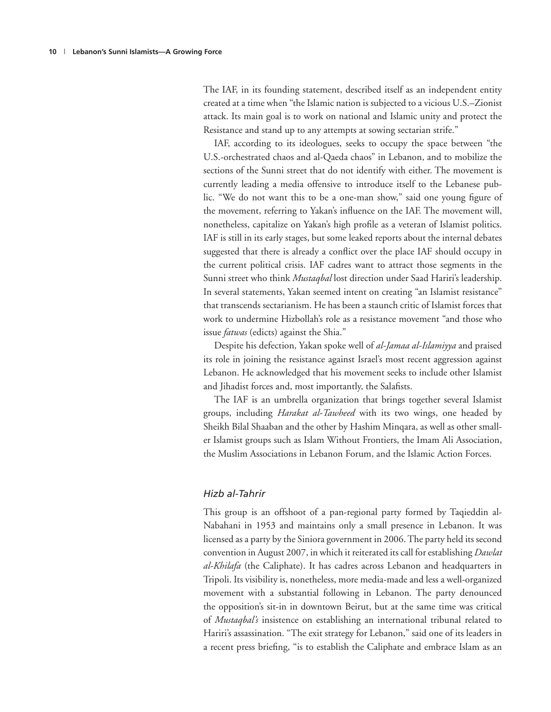The IAF, in its founding statement, described itself as an independent entity created at a time when "the Islamic nation is subjected to a vicious U.S.–Zionist attack. Its main goal is to work on national and Islamic unity and protect the Resistance and stand up to any attempts at sowing sectarian strife."

IAF, according to its ideologues, seeks to occupy the space between "the U.S.-orchestrated chaos and al-Qaeda chaos" in Lebanon, and to mobilize the sections of the Sunni street that do not identify with either. The movement is currently leading a media offensive to introduce itself to the Lebanese public. "We do not want this to be a one-man show," said one young figure of the movement, referring to Yakan's influence on the IAF. The movement will, nonetheless, capitalize on Yakan's high profile as a veteran of Islamist politics. IAF is still in its early stages, but some leaked reports about the internal debates suggested that there is already a conflict over the place IAF should occupy in the current political crisis. IAF cadres want to attract those segments in the Sunni street who think *Mustaqbal* lost direction under Saad Hariri's leadership. In several statements, Yakan seemed intent on creating "an Islamist resistance" that transcends sectarianism. He has been a staunch critic of Islamist forces that work to undermine Hizbollah's role as a resistance movement "and those who issue *fatwas* (edicts) against the Shia."

Despite his defection, Yakan spoke well of *al-Jamaa al-Islamiyya* and praised its role in joining the resistance against Israel's most recent aggression against Lebanon. He acknowledged that his movement seeks to include other Islamist and Jihadist forces and, most importantly, the Salafists.

The IAF is an umbrella organization that brings together several Islamist groups, including *Harakat al-Tawheed* with its two wings, one headed by Sheikh Bilal Shaaban and the other by Hashim Minqara, as well as other smaller Islamist groups such as Islam Without Frontiers, the Imam Ali Association, the Muslim Associations in Lebanon Forum, and the Islamic Action Forces.

#### *Hizb al-Tahrir*

This group is an offshoot of a pan-regional party formed by Taqieddin al-Nabahani in 1953 and maintains only a small presence in Lebanon. It was licensed as a party by the Siniora government in 2006. The party held its second convention in August 2007, in which it reiterated its call for establishing *Dawlat al-Khilafa* (the Caliphate). It has cadres across Lebanon and headquarters in Tripoli. Its visibility is, nonetheless, more media-made and less a well-organized movement with a substantial following in Lebanon. The party denounced the opposition's sit-in in downtown Beirut, but at the same time was critical of *Mustaqbal's* insistence on establishing an international tribunal related to Hariri's assassination. "The exit strategy for Lebanon," said one of its leaders in a recent press briefing, "is to establish the Caliphate and embrace Islam as an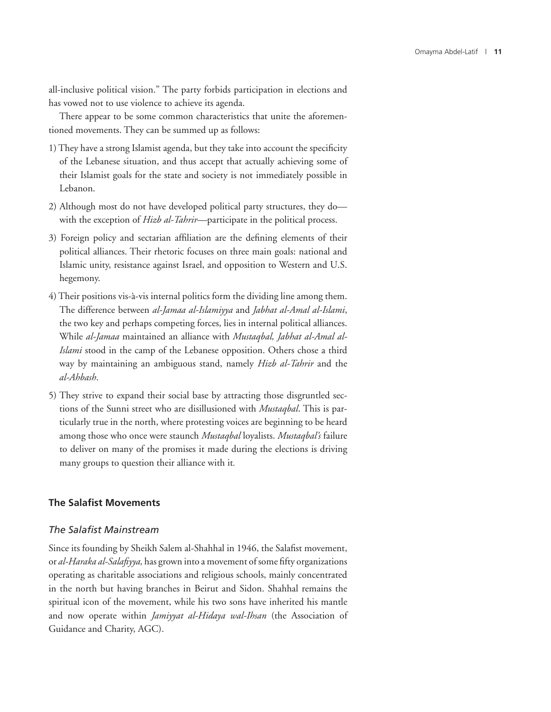all-inclusive political vision." The party forbids participation in elections and has vowed not to use violence to achieve its agenda.

There appear to be some common characteristics that unite the aforementioned movements. They can be summed up as follows:

- 1) They have a strong Islamist agenda, but they take into account the specificity of the Lebanese situation, and thus accept that actually achieving some of their Islamist goals for the state and society is not immediately possible in Lebanon.
- 2) Although most do not have developed political party structures, they do with the exception of *Hizb al-Tahrir—*participate in the political process.
- 3) Foreign policy and sectarian affiliation are the defining elements of their political alliances. Their rhetoric focuses on three main goals: national and Islamic unity, resistance against Israel, and opposition to Western and U.S. hegemony.
- 4) Their positions vis-à-vis internal politics form the dividing line among them. The difference between *al-Jamaa al-Islamiyya* and *Jabhat al-Amal al-Islami*, the two key and perhaps competing forces, lies in internal political alliances. While *al-Jamaa* maintained an alliance with *Mustaqbal, Jabhat al-Amal al-Islami* stood in the camp of the Lebanese opposition. Others chose a third way by maintaining an ambiguous stand, namely *Hizb al-Tahrir* and the *al-Ahbash*.
- 5) They strive to expand their social base by attracting those disgruntled sections of the Sunni street who are disillusioned with *Mustaqbal*. This is particularly true in the north, where protesting voices are beginning to be heard among those who once were staunch *Mustaqbal* loyalists. *Mustaqbal's* failure to deliver on many of the promises it made during the elections is driving many groups to question their alliance with it*.*

#### **The Salafist Movements**

#### **The Salafist Mainstream**

Since its founding by Sheikh Salem al-Shahhal in 1946, the Salafist movement, or *al-Haraka al-Salafiyya*, has grown into a movement of some fifty organizations operating as charitable associations and religious schools, mainly concentrated in the north but having branches in Beirut and Sidon. Shahhal remains the spiritual icon of the movement, while his two sons have inherited his mantle and now operate within *Jamiyyat al-Hidaya wal-Ihsan* (the Association of Guidance and Charity, AGC).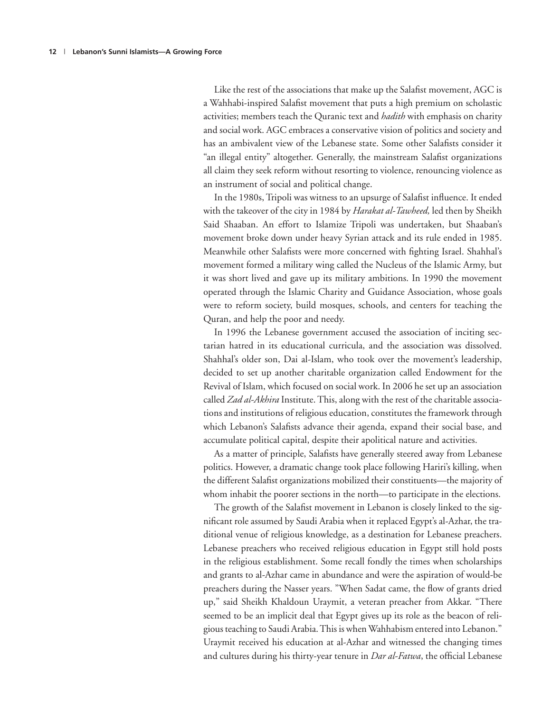Like the rest of the associations that make up the Salafist movement, AGC is a Wahhabi-inspired Salafist movement that puts a high premium on scholastic activities; members teach the Quranic text and *hadith* with emphasis on charity and social work. AGC embraces a conservative vision of politics and society and has an ambivalent view of the Lebanese state. Some other Salafists consider it "an illegal entity" altogether. Generally, the mainstream Salafist organizations all claim they seek reform without resorting to violence, renouncing violence as an instrument of social and political change.

In the 1980s, Tripoli was witness to an upsurge of Salafist influence. It ended with the takeover of the city in 1984 by *Harakat al-Tawheed,* led then by Sheikh Said Shaaban. An effort to Islamize Tripoli was undertaken, but Shaaban's movement broke down under heavy Syrian attack and its rule ended in 1985. Meanwhile other Salafists were more concerned with fighting Israel. Shahhal's movement formed a military wing called the Nucleus of the Islamic Army, but it was short lived and gave up its military ambitions. In 1990 the movement operated through the Islamic Charity and Guidance Association, whose goals were to reform society, build mosques, schools, and centers for teaching the Quran, and help the poor and needy.

In 1996 the Lebanese government accused the association of inciting sectarian hatred in its educational curricula, and the association was dissolved. Shahhal's older son, Dai al-Islam, who took over the movement's leadership, decided to set up another charitable organization called Endowment for the Revival of Islam, which focused on social work. In 2006 he set up an association called *Zad al-Akhira* Institute. This, along with the rest of the charitable associations and institutions of religious education, constitutes the framework through which Lebanon's Salafists advance their agenda, expand their social base, and accumulate political capital, despite their apolitical nature and activities.

As a matter of principle, Salafists have generally steered away from Lebanese politics. However, a dramatic change took place following Hariri's killing, when the different Salafist organizations mobilized their constituents—the majority of whom inhabit the poorer sections in the north—to participate in the elections.

The growth of the Salafist movement in Lebanon is closely linked to the significant role assumed by Saudi Arabia when it replaced Egypt's al-Azhar, the traditional venue of religious knowledge, as a destination for Lebanese preachers. Lebanese preachers who received religious education in Egypt still hold posts in the religious establishment. Some recall fondly the times when scholarships and grants to al-Azhar came in abundance and were the aspiration of would-be preachers during the Nasser years. "When Sadat came, the flow of grants dried up," said Sheikh Khaldoun Uraymit, a veteran preacher from Akkar. "There seemed to be an implicit deal that Egypt gives up its role as the beacon of religious teaching to Saudi Arabia. This is when Wahhabism entered into Lebanon." Uraymit received his education at al-Azhar and witnessed the changing times and cultures during his thirty-year tenure in *Dar al-Fatwa*, the official Lebanese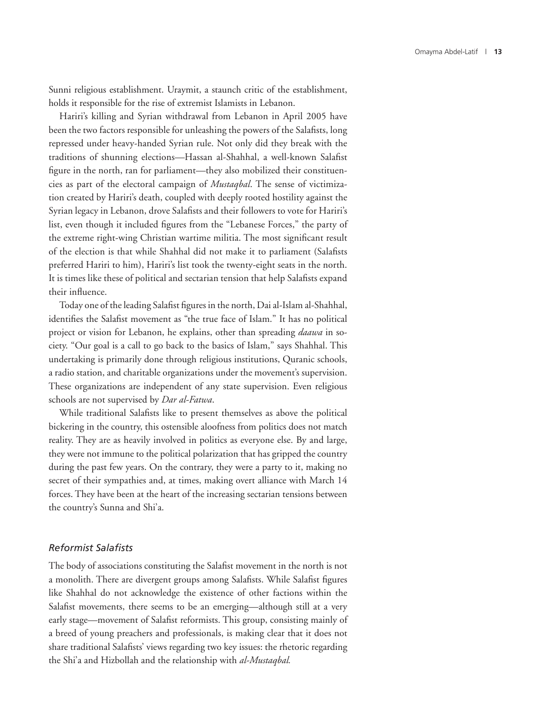Sunni religious establishment. Uraymit, a staunch critic of the establishment, holds it responsible for the rise of extremist Islamists in Lebanon.

Hariri's killing and Syrian withdrawal from Lebanon in April 2005 have been the two factors responsible for unleashing the powers of the Salafists, long repressed under heavy-handed Syrian rule. Not only did they break with the traditions of shunning elections—Hassan al-Shahhal, a well-known Salafist figure in the north, ran for parliament—they also mobilized their constituencies as part of the electoral campaign of *Mustaqbal*. The sense of victimization created by Hariri's death, coupled with deeply rooted hostility against the Syrian legacy in Lebanon, drove Salafists and their followers to vote for Hariri's list, even though it included figures from the "Lebanese Forces," the party of the extreme right-wing Christian wartime militia. The most significant result of the election is that while Shahhal did not make it to parliament (Salafists preferred Hariri to him), Hariri's list took the twenty-eight seats in the north. It is times like these of political and sectarian tension that help Salafists expand their influence.

Today one of the leading Salafist figures in the north, Dai al-Islam al-Shahhal, identifies the Salafist movement as "the true face of Islam." It has no political project or vision for Lebanon, he explains, other than spreading *daawa* in society. "Our goal is a call to go back to the basics of Islam," says Shahhal. This undertaking is primarily done through religious institutions, Quranic schools, a radio station, and charitable organizations under the movement's supervision. These organizations are independent of any state supervision. Even religious schools are not supervised by *Dar al-Fatwa*.

While traditional Salafists like to present themselves as above the political bickering in the country, this ostensible aloofness from politics does not match reality. They are as heavily involved in politics as everyone else. By and large, they were not immune to the political polarization that has gripped the country during the past few years. On the contrary, they were a party to it, making no secret of their sympathies and, at times, making overt alliance with March 14 forces. They have been at the heart of the increasing sectarian tensions between the country's Sunna and Shi'a.

#### *Reformist Salafi sts*

The body of associations constituting the Salafist movement in the north is not a monolith. There are divergent groups among Salafists. While Salafist figures like Shahhal do not acknowledge the existence of other factions within the Salafist movements, there seems to be an emerging—although still at a very early stage—movement of Salafist reformists. This group, consisting mainly of a breed of young preachers and professionals, is making clear that it does not share traditional Salafists' views regarding two key issues: the rhetoric regarding the Shi'a and Hizbollah and the relationship with *al-Mustaqbal.*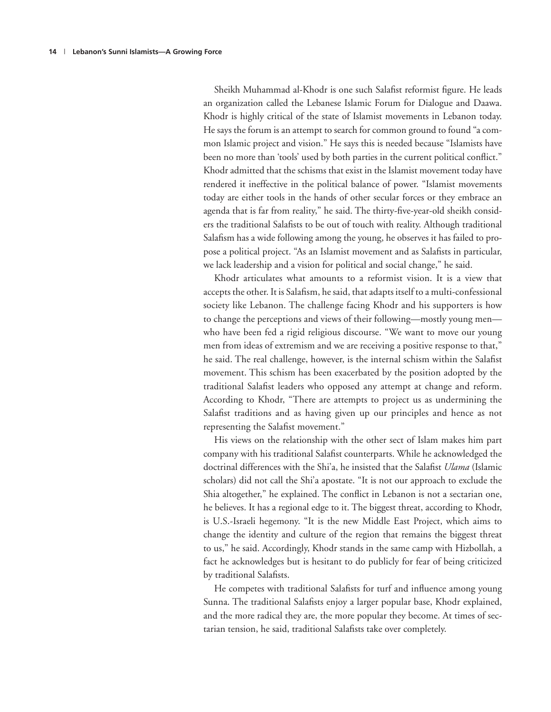Sheikh Muhammad al-Khodr is one such Salafist reformist figure. He leads an organization called the Lebanese Islamic Forum for Dialogue and Daawa. Khodr is highly critical of the state of Islamist movements in Lebanon today. He says the forum is an attempt to search for common ground to found "a common Islamic project and vision." He says this is needed because "Islamists have been no more than 'tools' used by both parties in the current political conflict." Khodr admitted that the schisms that exist in the Islamist movement today have rendered it ineffective in the political balance of power. "Islamist movements today are either tools in the hands of other secular forces or they embrace an agenda that is far from reality," he said. The thirty-five-year-old sheikh considers the traditional Salafists to be out of touch with reality. Although traditional Salafism has a wide following among the young, he observes it has failed to propose a political project. "As an Islamist movement and as Salafists in particular, we lack leadership and a vision for political and social change," he said.

Khodr articulates what amounts to a reformist vision. It is a view that accepts the other. It is Salafism, he said, that adapts itself to a multi-confessional society like Lebanon. The challenge facing Khodr and his supporters is how to change the perceptions and views of their following—mostly young men who have been fed a rigid religious discourse. "We want to move our young men from ideas of extremism and we are receiving a positive response to that," he said. The real challenge, however, is the internal schism within the Salafist movement. This schism has been exacerbated by the position adopted by the traditional Salafist leaders who opposed any attempt at change and reform. According to Khodr, "There are attempts to project us as undermining the Salafist traditions and as having given up our principles and hence as not representing the Salafist movement."

His views on the relationship with the other sect of Islam makes him part company with his traditional Salafist counterparts. While he acknowledged the doctrinal differences with the Shi'a, he insisted that the Salafist *Ulama* (Islamic scholars) did not call the Shi'a apostate. "It is not our approach to exclude the Shia altogether," he explained. The conflict in Lebanon is not a sectarian one, he believes. It has a regional edge to it. The biggest threat, according to Khodr, is U.S.-Israeli hegemony. "It is the new Middle East Project, which aims to change the identity and culture of the region that remains the biggest threat to us," he said. Accordingly, Khodr stands in the same camp with Hizbollah, a fact he acknowledges but is hesitant to do publicly for fear of being criticized by traditional Salafists.

He competes with traditional Salafists for turf and influence among young Sunna. The traditional Salafists enjoy a larger popular base, Khodr explained, and the more radical they are, the more popular they become. At times of sectarian tension, he said, traditional Salafists take over completely.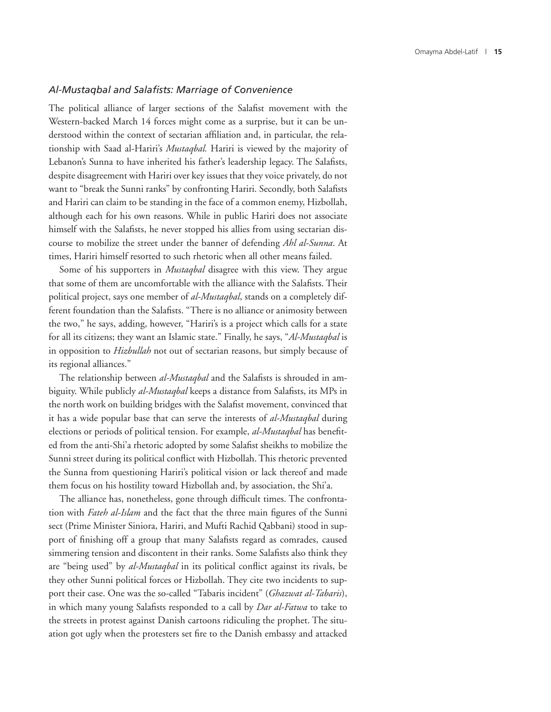#### *Al-Mustaqbal and Salafi sts: Marriage of Convenience*

The political alliance of larger sections of the Salafist movement with the Western-backed March 14 forces might come as a surprise, but it can be understood within the context of sectarian affiliation and, in particular, the relationship with Saad al-Hariri's *Mustaqbal.* Hariri is viewed by the majority of Lebanon's Sunna to have inherited his father's leadership legacy. The Salafists, despite disagreement with Hariri over key issues that they voice privately, do not want to "break the Sunni ranks" by confronting Hariri. Secondly, both Salafists and Hariri can claim to be standing in the face of a common enemy, Hizbollah, although each for his own reasons. While in public Hariri does not associate himself with the Salafists, he never stopped his allies from using sectarian discourse to mobilize the street under the banner of defending *Ahl al-Sunna*. At times, Hariri himself resorted to such rhetoric when all other means failed.

Some of his supporters in *Mustaqbal* disagree with this view. They argue that some of them are uncomfortable with the alliance with the Salafists. Their political project, says one member of *al-Mustaqbal*, stands on a completely different foundation than the Salafists. "There is no alliance or animosity between the two," he says, adding, however, "Hariri's is a project which calls for a state for all its citizens; they want an Islamic state." Finally, he says, "*Al-Mustaqbal* is in opposition to *Hizbullah* not out of sectarian reasons, but simply because of its regional alliances."

The relationship between *al-Mustaqbal* and the Salafists is shrouded in ambiguity. While publicly *al-Mustaqbal* keeps a distance from Salafists, its MPs in the north work on building bridges with the Salafist movement, convinced that it has a wide popular base that can serve the interests of *al-Mustaqbal* during elections or periods of political tension. For example, *al-Mustaqbal* has benefited from the anti-Shi'a rhetoric adopted by some Salafist sheikhs to mobilize the Sunni street during its political conflict with Hizbollah. This rhetoric prevented the Sunna from questioning Hariri's political vision or lack thereof and made them focus on his hostility toward Hizbollah and, by association, the Shi'a.

The alliance has, nonetheless, gone through difficult times. The confrontation with *Fateh al-Islam* and the fact that the three main figures of the Sunni sect (Prime Minister Siniora, Hariri, and Mufti Rachid Qabbani) stood in support of finishing off a group that many Salafists regard as comrades, caused simmering tension and discontent in their ranks. Some Salafists also think they are "being used" by *al-Mustaqbal* in its political conflict against its rivals, be they other Sunni political forces or Hizbollah. They cite two incidents to support their case. One was the so-called "Tabaris incident" (*Ghazwat al-Tabaris*), in which many young Salafists responded to a call by *Dar al-Fatwa* to take to the streets in protest against Danish cartoons ridiculing the prophet. The situation got ugly when the protesters set fire to the Danish embassy and attacked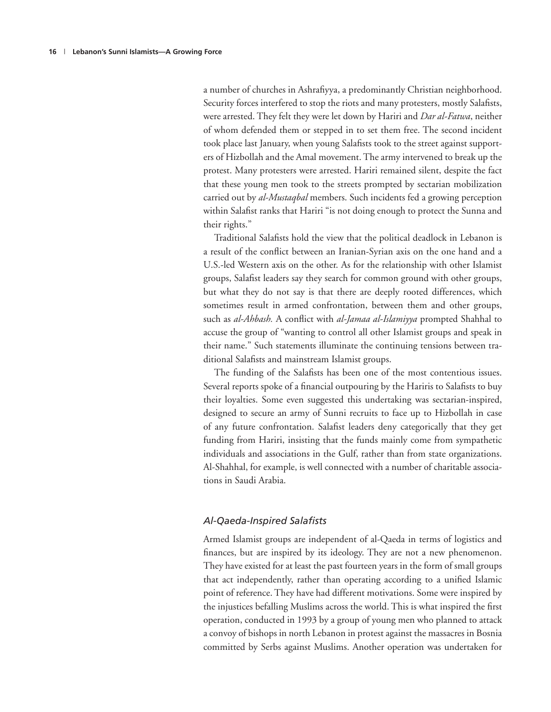a number of churches in Ashrafiyya, a predominantly Christian neighborhood. Security forces interfered to stop the riots and many protesters, mostly Salafists, were arrested. They felt they were let down by Hariri and *Dar al-Fatwa*, neither of whom defended them or stepped in to set them free. The second incident took place last January, when young Salafists took to the street against supporters of Hizbollah and the Amal movement. The army intervened to break up the protest. Many protesters were arrested. Hariri remained silent, despite the fact that these young men took to the streets prompted by sectarian mobilization carried out by *al-Mustaqbal* members. Such incidents fed a growing perception within Salafist ranks that Hariri "is not doing enough to protect the Sunna and their rights."

Traditional Salafists hold the view that the political deadlock in Lebanon is a result of the conflict between an Iranian-Syrian axis on the one hand and a U.S.-led Western axis on the other. As for the relationship with other Islamist groups, Salafist leaders say they search for common ground with other groups, but what they do not say is that there are deeply rooted differences, which sometimes result in armed confrontation, between them and other groups, such as *al-Ahbash*. A conflict with *al-Jamaa al-Islamiyya* prompted Shahhal to accuse the group of "wanting to control all other Islamist groups and speak in their name." Such statements illuminate the continuing tensions between traditional Salafists and mainstream Islamist groups.

The funding of the Salafists has been one of the most contentious issues. Several reports spoke of a financial outpouring by the Hariris to Salafists to buy their loyalties. Some even suggested this undertaking was sectarian-inspired, designed to secure an army of Sunni recruits to face up to Hizbollah in case of any future confrontation. Salafist leaders deny categorically that they get funding from Hariri, insisting that the funds mainly come from sympathetic individuals and associations in the Gulf, rather than from state organizations. Al-Shahhal, for example, is well connected with a number of charitable associations in Saudi Arabia.

#### **Al-Qaeda-Inspired Salafists**

Armed Islamist groups are independent of al-Qaeda in terms of logistics and finances, but are inspired by its ideology. They are not a new phenomenon. They have existed for at least the past fourteen years in the form of small groups that act independently, rather than operating according to a unified Islamic point of reference. They have had different motivations. Some were inspired by the injustices befalling Muslims across the world. This is what inspired the first operation, conducted in 1993 by a group of young men who planned to attack a convoy of bishops in north Lebanon in protest against the massacres in Bosnia committed by Serbs against Muslims. Another operation was undertaken for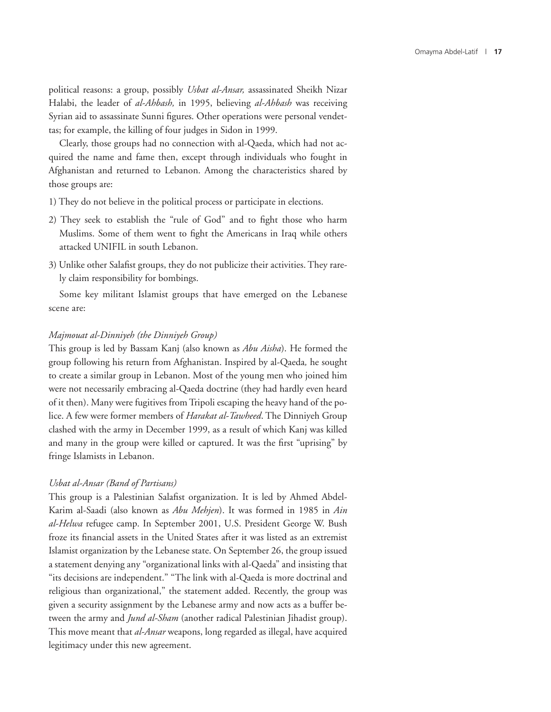political reasons: a group, possibly *Usbat al-Ansar,* assassinated Sheikh Nizar Halabi, the leader of *al-Ahbash,* in 1995, believing *al-Ahbash* was receiving Syrian aid to assassinate Sunni figures. Other operations were personal vendettas; for example, the killing of four judges in Sidon in 1999.

Clearly, those groups had no connection with al-Qaeda, which had not acquired the name and fame then, except through individuals who fought in Afghanistan and returned to Lebanon. Among the characteristics shared by those groups are:

- 1) They do not believe in the political process or participate in elections.
- 2) They seek to establish the "rule of God" and to fight those who harm Muslims. Some of them went to fight the Americans in Iraq while others attacked UNIFIL in south Lebanon.
- 3) Unlike other Salafist groups, they do not publicize their activities. They rarely claim responsibility for bombings.

Some key militant Islamist groups that have emerged on the Lebanese scene are:

#### *Majmouat al-Dinniyeh (the Dinniyeh Group)*

This group is led by Bassam Kanj (also known as *Abu Aisha*). He formed the group following his return from Afghanistan. Inspired by al-Qaeda*,* he sought to create a similar group in Lebanon. Most of the young men who joined him were not necessarily embracing al-Qaeda doctrine (they had hardly even heard of it then). Many were fugitives from Tripoli escaping the heavy hand of the police. A few were former members of *Harakat al-Tawheed*. The Dinniyeh Group clashed with the army in December 1999, as a result of which Kanj was killed and many in the group were killed or captured. It was the first "uprising" by fringe Islamists in Lebanon.

#### *Usbat al-Ansar (Band of Partisans)*

This group is a Palestinian Salafist organization. It is led by Ahmed Abdel-Karim al-Saadi (also known as *Abu Mehjen*). It was formed in 1985 in *Ain al-Helwa* refugee camp. In September 2001, U.S. President George W. Bush froze its financial assets in the United States after it was listed as an extremist Islamist organization by the Lebanese state. On September 26, the group issued a statement denying any "organizational links with al-Qaeda" and insisting that "its decisions are independent." "The link with al-Qaeda is more doctrinal and religious than organizational," the statement added. Recently, the group was given a security assignment by the Lebanese army and now acts as a buffer between the army and *Jund al-Sham* (another radical Palestinian Jihadist group). This move meant that *al-Ansar* weapons, long regarded as illegal, have acquired legitimacy under this new agreement.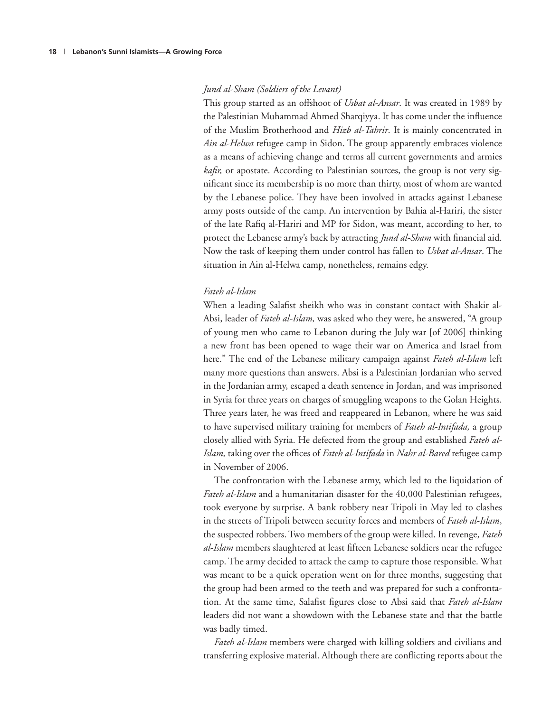#### *Jund al-Sham (Soldiers of the Levant)*

This group started as an offshoot of *Usbat al-Ansar*. It was created in 1989 by the Palestinian Muhammad Ahmed Sharqiyya. It has come under the influence of the Muslim Brotherhood and *Hizb al-Tahrir*. It is mainly concentrated in *Ain al-Helwa* refugee camp in Sidon. The group apparently embraces violence as a means of achieving change and terms all current governments and armies *kafir*, or apostate. According to Palestinian sources, the group is not very significant since its membership is no more than thirty, most of whom are wanted by the Lebanese police. They have been involved in attacks against Lebanese army posts outside of the camp. An intervention by Bahia al-Hariri, the sister of the late Rafiq al-Hariri and MP for Sidon, was meant, according to her, to protect the Lebanese army's back by attracting *Jund al-Sham* with financial aid. Now the task of keeping them under control has fallen to *Usbat al-Ansar*. The situation in Ain al-Helwa camp, nonetheless, remains edgy.

#### *Fateh al-Islam*

When a leading Salafist sheikh who was in constant contact with Shakir al-Absi, leader of *Fateh al-Islam,* was asked who they were, he answered, "A group of young men who came to Lebanon during the July war [of 2006] thinking a new front has been opened to wage their war on America and Israel from here." The end of the Lebanese military campaign against *Fateh al-Islam* left many more questions than answers. Absi is a Palestinian Jordanian who served in the Jordanian army, escaped a death sentence in Jordan, and was imprisoned in Syria for three years on charges of smuggling weapons to the Golan Heights. Three years later, he was freed and reappeared in Lebanon, where he was said to have supervised military training for members of *Fateh al-Intifada,* a group closely allied with Syria. He defected from the group and established *Fateh al-Islam*, taking over the offices of *Fateh al-Intifada* in *Nahr al-Bared* refugee camp in November of 2006.

The confrontation with the Lebanese army, which led to the liquidation of *Fateh al-Islam* and a humanitarian disaster for the 40,000 Palestinian refugees, took everyone by surprise. A bank robbery near Tripoli in May led to clashes in the streets of Tripoli between security forces and members of *Fateh al-Islam*, the suspected robbers. Two members of the group were killed. In revenge, *Fateh al-Islam* members slaughtered at least fifteen Lebanese soldiers near the refugee camp. The army decided to attack the camp to capture those responsible. What was meant to be a quick operation went on for three months, suggesting that the group had been armed to the teeth and was prepared for such a confrontation. At the same time, Salafist figures close to Absi said that *Fateh al-Islam* leaders did not want a showdown with the Lebanese state and that the battle was badly timed.

*Fateh al-Islam* members were charged with killing soldiers and civilians and transferring explosive material. Although there are conflicting reports about the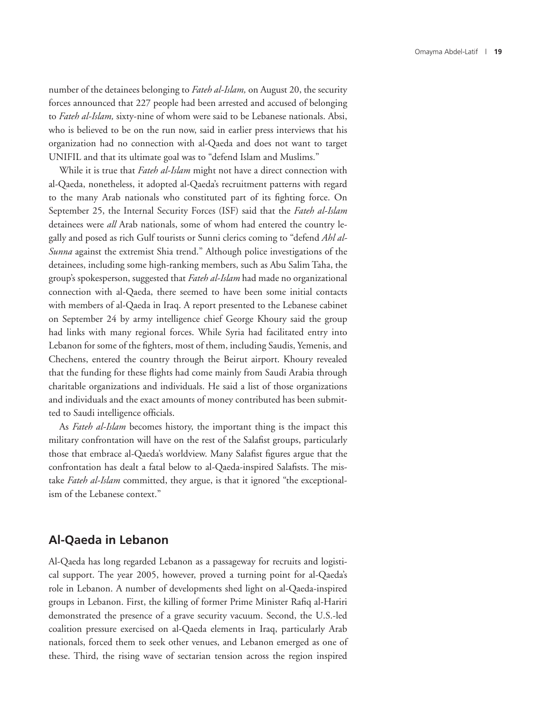number of the detainees belonging to *Fateh al-Islam,* on August 20, the security forces announced that 227 people had been arrested and accused of belonging to *Fateh al-Islam,* sixty-nine of whom were said to be Lebanese nationals. Absi, who is believed to be on the run now, said in earlier press interviews that his organization had no connection with al-Qaeda and does not want to target UNIFIL and that its ultimate goal was to "defend Islam and Muslims."

While it is true that *Fateh al-Islam* might not have a direct connection with al-Qaeda, nonetheless, it adopted al-Qaeda's recruitment patterns with regard to the many Arab nationals who constituted part of its fighting force. On September 25, the Internal Security Forces (ISF) said that the *Fateh al-Islam* detainees were *all* Arab nationals, some of whom had entered the country legally and posed as rich Gulf tourists or Sunni clerics coming to "defend *Ahl al-Sunna* against the extremist Shia trend." Although police investigations of the detainees, including some high-ranking members, such as Abu Salim Taha, the group's spokesperson, suggested that *Fateh al-Islam* had made no organizational connection with al-Qaeda, there seemed to have been some initial contacts with members of al-Qaeda in Iraq. A report presented to the Lebanese cabinet on September 24 by army intelligence chief George Khoury said the group had links with many regional forces. While Syria had facilitated entry into Lebanon for some of the fighters, most of them, including Saudis, Yemenis, and Chechens, entered the country through the Beirut airport. Khoury revealed that the funding for these flights had come mainly from Saudi Arabia through charitable organizations and individuals. He said a list of those organizations and individuals and the exact amounts of money contributed has been submitted to Saudi intelligence officials.

As *Fateh al-Islam* becomes history, the important thing is the impact this military confrontation will have on the rest of the Salafist groups, particularly those that embrace al-Qaeda's worldview. Many Salafist figures argue that the confrontation has dealt a fatal below to al-Qaeda-inspired Salafists. The mistake *Fateh al-Islam* committed, they argue, is that it ignored "the exceptionalism of the Lebanese context."

#### **Al-Qaeda in Lebanon**

Al-Qaeda has long regarded Lebanon as a passageway for recruits and logistical support. The year 2005, however, proved a turning point for al-Qaeda's role in Lebanon. A number of developments shed light on al-Qaeda-inspired groups in Lebanon. First, the killing of former Prime Minister Rafiq al-Hariri demonstrated the presence of a grave security vacuum. Second, the U.S.-led coalition pressure exercised on al-Qaeda elements in Iraq, particularly Arab nationals, forced them to seek other venues, and Lebanon emerged as one of these. Third, the rising wave of sectarian tension across the region inspired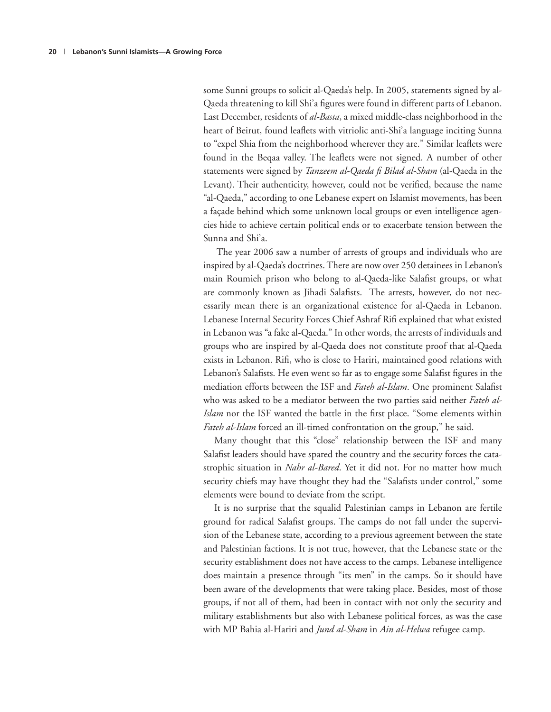some Sunni groups to solicit al-Qaeda's help. In 2005, statements signed by al-Qaeda threatening to kill Shi'a figures were found in different parts of Lebanon. Last December, residents of *al-Basta*, a mixed middle-class neighborhood in the heart of Beirut, found leaflets with vitriolic anti-Shi'a language inciting Sunna to "expel Shia from the neighborhood wherever they are." Similar leaflets were found in the Beqaa valley. The leaflets were not signed. A number of other statements were signed by *Tanzeem al-Qaeda fi Bilad al-Sham* (al-Qaeda in the Levant). Their authenticity, however, could not be verified, because the name "al-Qaeda," according to one Lebanese expert on Islamist movements, has been a façade behind which some unknown local groups or even intelligence agencies hide to achieve certain political ends or to exacerbate tension between the Sunna and Shi'a.

 The year 2006 saw a number of arrests of groups and individuals who are inspired by al-Qaeda's doctrines. There are now over 250 detainees in Lebanon's main Roumieh prison who belong to al-Qaeda-like Salafist groups, or what are commonly known as Jihadi Salafists. The arrests, however, do not necessarily mean there is an organizational existence for al-Qaeda in Lebanon. Lebanese Internal Security Forces Chief Ashraf Rifi explained that what existed in Lebanon was "a fake al-Qaeda." In other words, the arrests of individuals and groups who are inspired by al-Qaeda does not constitute proof that al-Qaeda exists in Lebanon. Rifi, who is close to Hariri, maintained good relations with Lebanon's Salafists. He even went so far as to engage some Salafist figures in the mediation efforts between the ISF and *Fateh al-Islam*. One prominent Salafist who was asked to be a mediator between the two parties said neither *Fateh al-Islam* nor the ISF wanted the battle in the first place. "Some elements within *Fateh al-Islam* forced an ill-timed confrontation on the group," he said.

Many thought that this "close" relationship between the ISF and many Salafist leaders should have spared the country and the security forces the catastrophic situation in *Nahr al-Bared*. Yet it did not. For no matter how much security chiefs may have thought they had the "Salafists under control," some elements were bound to deviate from the script.

It is no surprise that the squalid Palestinian camps in Lebanon are fertile ground for radical Salafist groups. The camps do not fall under the supervision of the Lebanese state, according to a previous agreement between the state and Palestinian factions. It is not true, however, that the Lebanese state or the security establishment does not have access to the camps. Lebanese intelligence does maintain a presence through "its men" in the camps. So it should have been aware of the developments that were taking place. Besides, most of those groups, if not all of them, had been in contact with not only the security and military establishments but also with Lebanese political forces, as was the case with MP Bahia al-Hariri and *Jund al-Sham* in *Ain al-Helwa* refugee camp.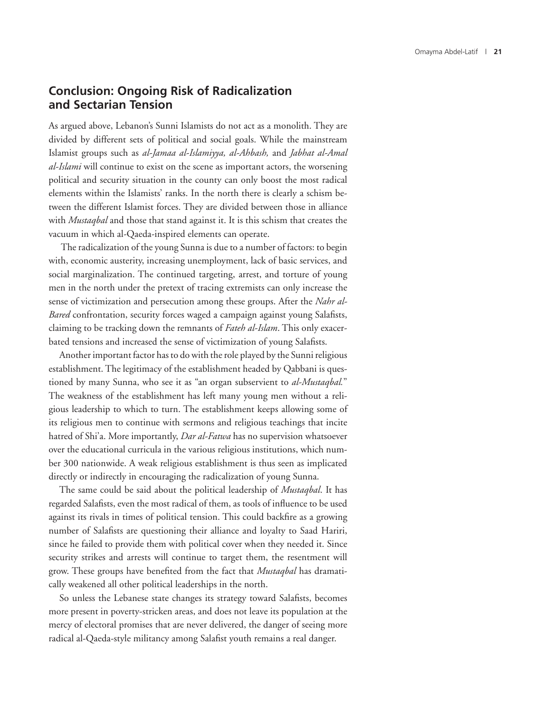#### **Conclusion: Ongoing Risk of Radicalization and Sectarian Tension**

As argued above, Lebanon's Sunni Islamists do not act as a monolith. They are divided by different sets of political and social goals. While the mainstream Islamist groups such as *al-Jamaa al-Islamiyya, al-Ahbash,* and *Jabhat al-Amal al-Islami* will continue to exist on the scene as important actors, the worsening political and security situation in the county can only boost the most radical elements within the Islamists' ranks. In the north there is clearly a schism between the different Islamist forces. They are divided between those in alliance with *Mustaqbal* and those that stand against it. It is this schism that creates the vacuum in which al-Qaeda-inspired elements can operate.

 The radicalization of the young Sunna is due to a number of factors: to begin with, economic austerity, increasing unemployment, lack of basic services, and social marginalization. The continued targeting, arrest, and torture of young men in the north under the pretext of tracing extremists can only increase the sense of victimization and persecution among these groups. After the *Nahr al-Bared* confrontation, security forces waged a campaign against young Salafists, claiming to be tracking down the remnants of *Fateh al-Islam*. This only exacerbated tensions and increased the sense of victimization of young Salafists.

Another important factor has to do with the role played by the Sunni religious establishment. The legitimacy of the establishment headed by Qabbani is questioned by many Sunna, who see it as "an organ subservient to *al-Mustaqbal.*" The weakness of the establishment has left many young men without a religious leadership to which to turn. The establishment keeps allowing some of its religious men to continue with sermons and religious teachings that incite hatred of Shi'a. More importantly, *Dar al-Fatwa* has no supervision whatsoever over the educational curricula in the various religious institutions, which number 300 nationwide. A weak religious establishment is thus seen as implicated directly or indirectly in encouraging the radicalization of young Sunna.

The same could be said about the political leadership of *Mustaqbal*. It has regarded Salafists, even the most radical of them, as tools of influence to be used against its rivals in times of political tension. This could backfire as a growing number of Salafists are questioning their alliance and loyalty to Saad Hariri, since he failed to provide them with political cover when they needed it. Since security strikes and arrests will continue to target them, the resentment will grow. These groups have benefited from the fact that *Mustaqbal* has dramatically weakened all other political leaderships in the north.

So unless the Lebanese state changes its strategy toward Salafists, becomes more present in poverty-stricken areas, and does not leave its population at the mercy of electoral promises that are never delivered, the danger of seeing more radical al-Qaeda-style militancy among Salafist youth remains a real danger.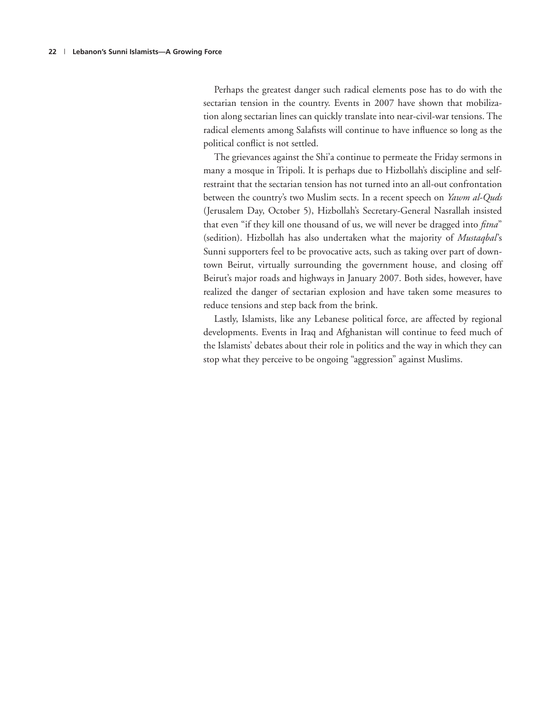Perhaps the greatest danger such radical elements pose has to do with the sectarian tension in the country. Events in 2007 have shown that mobilization along sectarian lines can quickly translate into near-civil-war tensions. The radical elements among Salafists will continue to have influence so long as the political conflict is not settled.

The grievances against the Shi'a continue to permeate the Friday sermons in many a mosque in Tripoli. It is perhaps due to Hizbollah's discipline and selfrestraint that the sectarian tension has not turned into an all-out confrontation between the country's two Muslim sects. In a recent speech on *Yawm al-Quds* (Jerusalem Day, October 5), Hizbollah's Secretary-General Nasrallah insisted that even "if they kill one thousand of us, we will never be dragged into *fitna*" (sedition). Hizbollah has also undertaken what the majority of *Mustaqbal*'s Sunni supporters feel to be provocative acts, such as taking over part of downtown Beirut, virtually surrounding the government house, and closing off Beirut's major roads and highways in January 2007. Both sides, however, have realized the danger of sectarian explosion and have taken some measures to reduce tensions and step back from the brink.

Lastly, Islamists, like any Lebanese political force, are affected by regional developments. Events in Iraq and Afghanistan will continue to feed much of the Islamists' debates about their role in politics and the way in which they can stop what they perceive to be ongoing "aggression" against Muslims.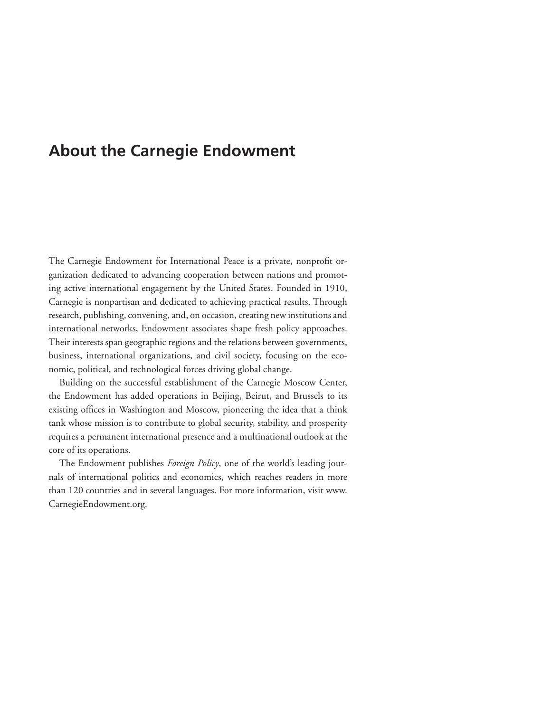### **About the Carnegie Endowment**

The Carnegie Endowment for International Peace is a private, nonprofit organization dedicated to advancing cooperation between nations and promoting active international engagement by the United States. Founded in 1910, Carnegie is nonpartisan and dedicated to achieving practical results. Through research, publishing, convening, and, on occasion, creating new institutions and international networks, Endowment associates shape fresh policy approaches. Their interests span geographic regions and the relations between governments, business, international organizations, and civil society, focusing on the economic, political, and technological forces driving global change.

Building on the successful establishment of the Carnegie Moscow Center, the Endowment has added operations in Beijing, Beirut, and Brussels to its existing offices in Washington and Moscow, pioneering the idea that a think tank whose mission is to contribute to global security, stability, and prosperity requires a permanent international presence and a multinational outlook at the core of its operations.

The Endowment publishes *Foreign Policy*, one of the world's leading journals of international politics and economics, which reaches readers in more than 120 countries and in several languages. For more information, visit www. CarnegieEndowment.org.